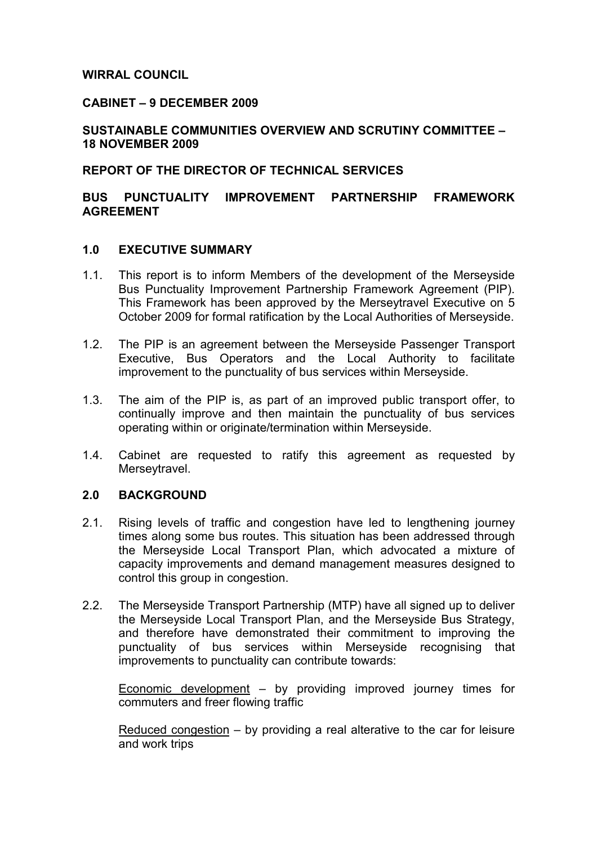# WIRRAL COUNCIL

### CABINET – 9 DECEMBER 2009

### SUSTAINABLE COMMUNITIES OVERVIEW AND SCRUTINY COMMITTEE – 18 NOVEMBER 2009

## REPORT OF THE DIRECTOR OF TECHNICAL SERVICES

#### BUS PUNCTUALITY IMPROVEMENT PARTNERSHIP FRAMEWORK AGREEMENT

#### 1.0 EXECUTIVE SUMMARY

- 1.1. This report is to inform Members of the development of the Merseyside Bus Punctuality Improvement Partnership Framework Agreement (PIP). This Framework has been approved by the Merseytravel Executive on 5 October 2009 for formal ratification by the Local Authorities of Merseyside.
- 1.2. The PIP is an agreement between the Merseyside Passenger Transport Executive, Bus Operators and the Local Authority to facilitate improvement to the punctuality of bus services within Merseyside.
- 1.3. The aim of the PIP is, as part of an improved public transport offer, to continually improve and then maintain the punctuality of bus services operating within or originate/termination within Merseyside.
- 1.4. Cabinet are requested to ratify this agreement as requested by Merseytravel.

### 2.0 BACKGROUND

- 2.1. Rising levels of traffic and congestion have led to lengthening journey times along some bus routes. This situation has been addressed through the Merseyside Local Transport Plan, which advocated a mixture of capacity improvements and demand management measures designed to control this group in congestion.
- 2.2. The Merseyside Transport Partnership (MTP) have all signed up to deliver the Merseyside Local Transport Plan, and the Merseyside Bus Strategy, and therefore have demonstrated their commitment to improving the punctuality of bus services within Merseyside recognising that improvements to punctuality can contribute towards:

Economic development – by providing improved journey times for commuters and freer flowing traffic

Reduced congestion – by providing a real alterative to the car for leisure and work trips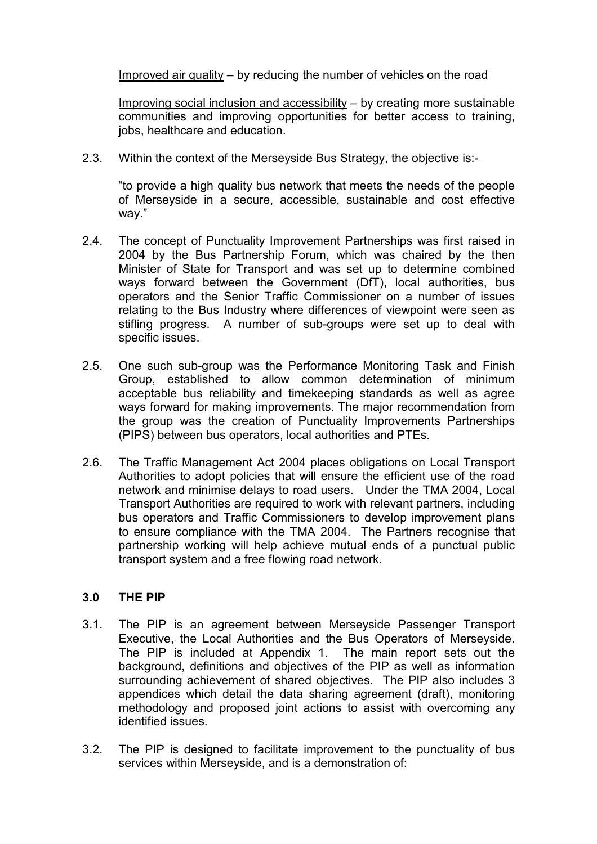Improved air quality – by reducing the number of vehicles on the road

Improving social inclusion and accessibility – by creating more sustainable communities and improving opportunities for better access to training, jobs, healthcare and education.

2.3. Within the context of the Merseyside Bus Strategy, the objective is:-

"to provide a high quality bus network that meets the needs of the people of Merseyside in a secure, accessible, sustainable and cost effective way."

- 2.4. The concept of Punctuality Improvement Partnerships was first raised in 2004 by the Bus Partnership Forum, which was chaired by the then Minister of State for Transport and was set up to determine combined ways forward between the Government (DfT), local authorities, bus operators and the Senior Traffic Commissioner on a number of issues relating to the Bus Industry where differences of viewpoint were seen as stifling progress. A number of sub-groups were set up to deal with specific issues.
- 2.5. One such sub-group was the Performance Monitoring Task and Finish Group, established to allow common determination of minimum acceptable bus reliability and timekeeping standards as well as agree ways forward for making improvements. The major recommendation from the group was the creation of Punctuality Improvements Partnerships (PIPS) between bus operators, local authorities and PTEs.
- 2.6. The Traffic Management Act 2004 places obligations on Local Transport Authorities to adopt policies that will ensure the efficient use of the road network and minimise delays to road users. Under the TMA 2004, Local Transport Authorities are required to work with relevant partners, including bus operators and Traffic Commissioners to develop improvement plans to ensure compliance with the TMA 2004. The Partners recognise that partnership working will help achieve mutual ends of a punctual public transport system and a free flowing road network.

# 3.0 THE PIP

- 3.1. The PIP is an agreement between Merseyside Passenger Transport Executive, the Local Authorities and the Bus Operators of Merseyside. The PIP is included at Appendix 1. The main report sets out the background, definitions and objectives of the PIP as well as information surrounding achievement of shared objectives. The PIP also includes 3 appendices which detail the data sharing agreement (draft), monitoring methodology and proposed joint actions to assist with overcoming any identified issues.
- 3.2. The PIP is designed to facilitate improvement to the punctuality of bus services within Merseyside, and is a demonstration of: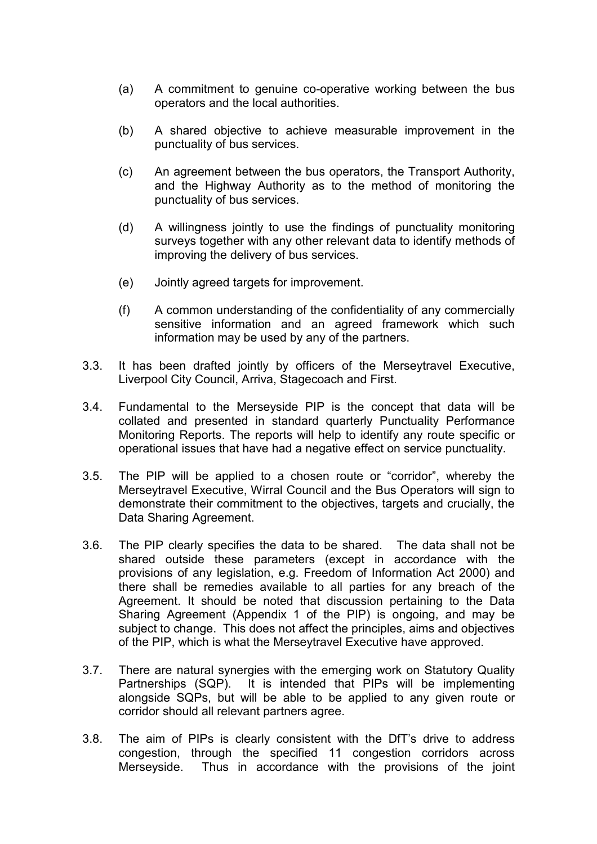- (a) A commitment to genuine co-operative working between the bus operators and the local authorities.
- (b) A shared objective to achieve measurable improvement in the punctuality of bus services.
- (c) An agreement between the bus operators, the Transport Authority, and the Highway Authority as to the method of monitoring the punctuality of bus services.
- (d) A willingness jointly to use the findings of punctuality monitoring surveys together with any other relevant data to identify methods of improving the delivery of bus services.
- (e) Jointly agreed targets for improvement.
- (f) A common understanding of the confidentiality of any commercially sensitive information and an agreed framework which such information may be used by any of the partners.
- 3.3. It has been drafted jointly by officers of the Merseytravel Executive, Liverpool City Council, Arriva, Stagecoach and First.
- 3.4. Fundamental to the Merseyside PIP is the concept that data will be collated and presented in standard quarterly Punctuality Performance Monitoring Reports. The reports will help to identify any route specific or operational issues that have had a negative effect on service punctuality.
- 3.5. The PIP will be applied to a chosen route or "corridor", whereby the Merseytravel Executive, Wirral Council and the Bus Operators will sign to demonstrate their commitment to the objectives, targets and crucially, the Data Sharing Agreement.
- 3.6. The PIP clearly specifies the data to be shared. The data shall not be shared outside these parameters (except in accordance with the provisions of any legislation, e.g. Freedom of Information Act 2000) and there shall be remedies available to all parties for any breach of the Agreement. It should be noted that discussion pertaining to the Data Sharing Agreement (Appendix 1 of the PIP) is ongoing, and may be subject to change. This does not affect the principles, aims and objectives of the PIP, which is what the Merseytravel Executive have approved.
- 3.7. There are natural synergies with the emerging work on Statutory Quality Partnerships (SQP). It is intended that PIPs will be implementing alongside SQPs, but will be able to be applied to any given route or corridor should all relevant partners agree.
- 3.8. The aim of PIPs is clearly consistent with the DfT's drive to address congestion, through the specified 11 congestion corridors across Merseyside. Thus in accordance with the provisions of the joint